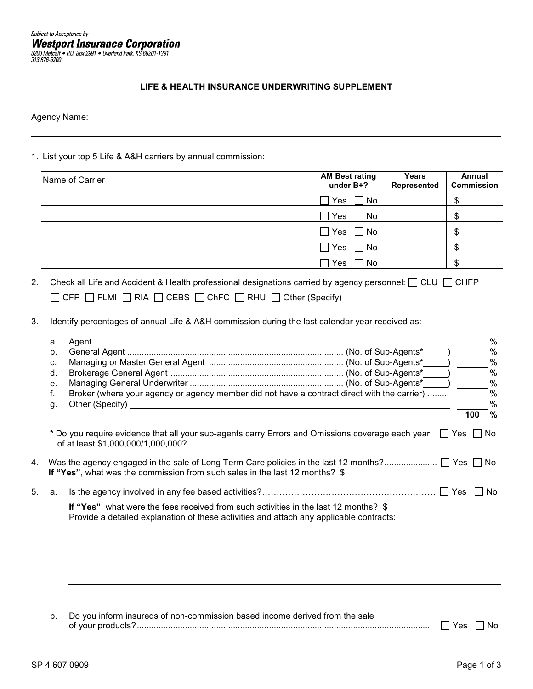## **LIFE & HEALTH INSURANCE UNDERWRITING SUPPLEMENT**

Agency Name:

1. List your top 5 Life & A&H carriers by annual commission:

| Name of Carrier | <b>AM Best rating</b><br>under B+? | Years<br>Represented | Annual<br><b>Commission</b> |
|-----------------|------------------------------------|----------------------|-----------------------------|
|                 | $\Box$ No<br>Yes                   |                      |                             |
|                 | Yes<br>No                          |                      | Œ                           |
|                 | No<br>Yes                          |                      | σ<br>Œ                      |
|                 | No<br>Yes                          |                      | œ<br>D                      |
|                 | No<br>Yes                          |                      |                             |

- 2. Check all Life and Accident & Health professional designations carried by agency personnel:  $\Box$  CLU  $\Box$  CHFP  $\Box$  CFP  $\Box$  FLMI  $\Box$  RIA  $\Box$  CEBS  $\Box$  ChFC  $\Box$  RHU  $\Box$  Other (Specify) \_\_\_\_\_\_\_
- 3. Identify percentages of annual Life & A&H commission during the last calendar year received as:

|    | a.                                                                                     |                                                                                                                                                                                 |  |            | $\%$          |  |
|----|----------------------------------------------------------------------------------------|---------------------------------------------------------------------------------------------------------------------------------------------------------------------------------|--|------------|---------------|--|
|    | b.                                                                                     |                                                                                                                                                                                 |  |            | %             |  |
|    | C.                                                                                     |                                                                                                                                                                                 |  |            | $\frac{0}{0}$ |  |
|    | d.                                                                                     |                                                                                                                                                                                 |  |            | $\frac{0}{0}$ |  |
|    | e.                                                                                     |                                                                                                                                                                                 |  |            | $\frac{0}{0}$ |  |
|    | f.                                                                                     | Broker (where your agency or agency member did not have a contract direct with the carrier)                                                                                     |  |            | $\frac{0}{0}$ |  |
|    | g.                                                                                     |                                                                                                                                                                                 |  |            | $\frac{0}{0}$ |  |
|    |                                                                                        |                                                                                                                                                                                 |  | 100        | $\%$          |  |
|    |                                                                                        | * Do you require evidence that all your sub-agents carry Errors and Omissions coverage each year<br>of at least \$1,000,000/1,000,000?                                          |  | l IYes I I | No            |  |
| 4. | If "Yes", what was the commission from such sales in the last 12 months? $\frac{2}{3}$ |                                                                                                                                                                                 |  |            |               |  |
| 5. | a.                                                                                     |                                                                                                                                                                                 |  |            | ∣No           |  |
|    |                                                                                        | If "Yes", what were the fees received from such activities in the last 12 months? \$<br>Provide a detailed explanation of these activities and attach any applicable contracts: |  |            |               |  |
|    |                                                                                        |                                                                                                                                                                                 |  |            |               |  |
|    |                                                                                        |                                                                                                                                                                                 |  |            |               |  |
|    |                                                                                        |                                                                                                                                                                                 |  |            |               |  |
|    |                                                                                        |                                                                                                                                                                                 |  |            |               |  |
|    |                                                                                        |                                                                                                                                                                                 |  |            |               |  |
|    | b.                                                                                     | Do you inform insureds of non-commission based income derived from the sale                                                                                                     |  | Yes        | No            |  |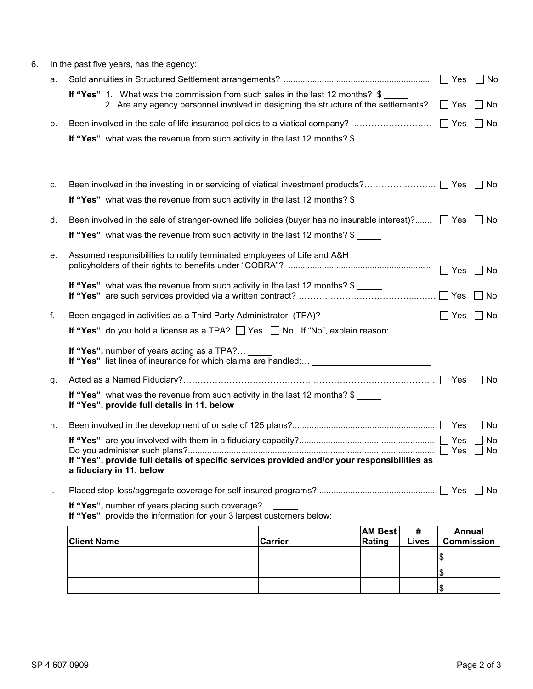| 6. | In the past five years, has the agency:                                                                                     |                                                                                                                                                                       |         |                |       |                      |                      |
|----|-----------------------------------------------------------------------------------------------------------------------------|-----------------------------------------------------------------------------------------------------------------------------------------------------------------------|---------|----------------|-------|----------------------|----------------------|
|    | а.                                                                                                                          |                                                                                                                                                                       |         |                |       | Yes                  | No                   |
|    |                                                                                                                             | If "Yes", 1. What was the commission from such sales in the last 12 months? \$<br>2. Are any agency personnel involved in designing the structure of the settlements? |         |                |       | $\Box$ Yes           | No<br>$\mathbf{I}$   |
|    | b.                                                                                                                          | Been involved in the sale of life insurance policies to a viatical company?                                                                                           |         |                |       | $\Box$ Yes           | No                   |
|    |                                                                                                                             | If "Yes", what was the revenue from such activity in the last 12 months? \$                                                                                           |         |                |       |                      |                      |
|    |                                                                                                                             |                                                                                                                                                                       |         |                |       |                      |                      |
|    | с.                                                                                                                          |                                                                                                                                                                       |         |                |       |                      |                      |
|    |                                                                                                                             | <b>If "Yes"</b> , what was the revenue from such activity in the last 12 months? \$                                                                                   |         |                |       |                      |                      |
|    | d.                                                                                                                          | Been involved in the sale of stranger-owned life policies (buyer has no insurable interest)? $\Box$ Yes $\Box$                                                        |         |                |       |                      | No                   |
|    |                                                                                                                             | If "Yes", what was the revenue from such activity in the last 12 months? \$                                                                                           |         |                |       |                      |                      |
|    | е.                                                                                                                          | Assumed responsibilities to notify terminated employees of Life and A&H                                                                                               |         |                |       |                      |                      |
|    |                                                                                                                             |                                                                                                                                                                       |         |                |       | $\Box$ Yes           | No<br>$\blacksquare$ |
|    |                                                                                                                             | If "Yes", what was the revenue from such activity in the last 12 months? $$$                                                                                          |         |                |       |                      | – I No               |
|    | f.                                                                                                                          | Been engaged in activities as a Third Party Administrator (TPA)?                                                                                                      |         |                |       | $\Box$ Yes $\Box$ No |                      |
|    |                                                                                                                             | If "Yes", do you hold a license as a TPA? $\Box$ Yes $\Box$ No If "No", explain reason:                                                                               |         |                |       |                      |                      |
|    |                                                                                                                             | If "Yes", number of years acting as a TPA?<br>If "Yes", list lines of insurance for which claims are handled: _________________________________                       |         |                |       |                      |                      |
|    | g.                                                                                                                          |                                                                                                                                                                       |         |                |       |                      |                      |
|    |                                                                                                                             | If "Yes", what was the revenue from such activity in the last 12 months? \$<br>If "Yes", provide full details in 11. below                                            |         |                |       |                      |                      |
|    | h.                                                                                                                          |                                                                                                                                                                       |         |                |       |                      | No                   |
|    |                                                                                                                             |                                                                                                                                                                       |         |                |       |                      | No                   |
|    |                                                                                                                             | Do you administer such plans?<br>If "Yes", provide full details of specific services provided and/or your responsibilities as<br>a fiduciary in 11. below             |         |                |       |                      | $\Box$ No            |
|    | i.                                                                                                                          |                                                                                                                                                                       |         |                |       |                      |                      |
|    | If "Yes", number of years placing such coverage? _<br>If "Yes", provide the information for your 3 largest customers below: |                                                                                                                                                                       |         |                |       |                      |                      |
|    |                                                                                                                             |                                                                                                                                                                       |         | <b>AM Best</b> | #     | <b>Annual</b>        |                      |
|    |                                                                                                                             | <b>Client Name</b>                                                                                                                                                    | Carrier | Rating         | Lives | <b>Commission</b>    |                      |
|    |                                                                                                                             |                                                                                                                                                                       |         |                |       | \$                   |                      |
|    |                                                                                                                             |                                                                                                                                                                       |         |                |       | \$                   |                      |

 $\overline{\mathsf{S}}$